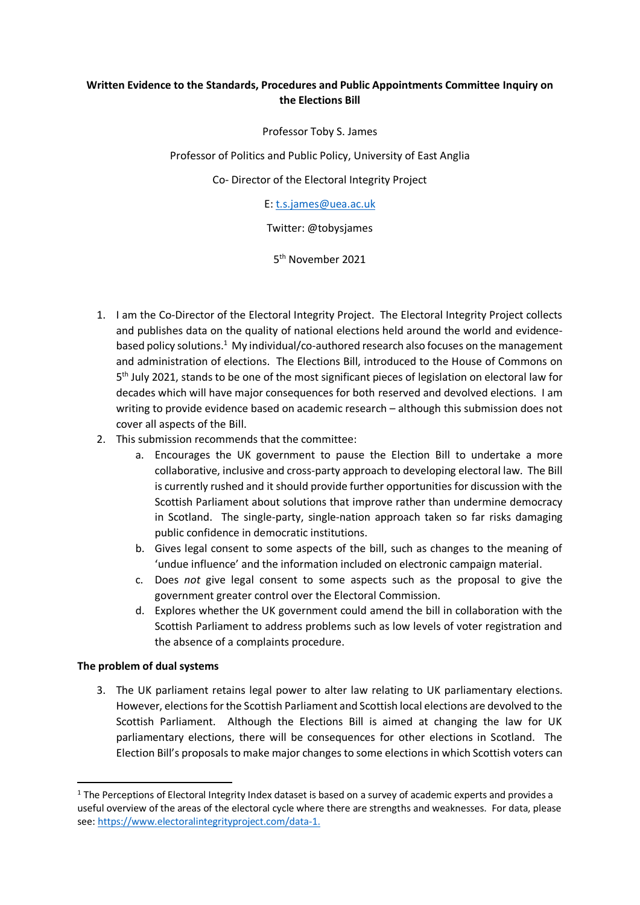# **Written Evidence to the Standards, Procedures and Public Appointments Committee Inquiry on the Elections Bill**

Professor Toby S. James

Professor of Politics and Public Policy, University of East Anglia

Co- Director of the Electoral Integrity Project

E[: t.s.james@uea.ac.uk](mailto:t.s.james@uea.ac.uk)

Twitter: @tobysjames

5 th November 2021

- 1. I am the Co-Director of the Electoral Integrity Project. The Electoral Integrity Project collects and publishes data on the quality of national elections held around the world and evidencebased policy solutions.<sup>1</sup> My individual/co-authored research also focuses on the management and administration of elections. The Elections Bill, introduced to the House of Commons on 5<sup>th</sup> July 2021, stands to be one of the most significant pieces of legislation on electoral law for decades which will have major consequences for both reserved and devolved elections. I am writing to provide evidence based on academic research – although this submission does not cover all aspects of the Bill.
- 2. This submission recommends that the committee:
	- a. Encourages the UK government to pause the Election Bill to undertake a more collaborative, inclusive and cross-party approach to developing electoral law. The Bill is currently rushed and it should provide further opportunities for discussion with the Scottish Parliament about solutions that improve rather than undermine democracy in Scotland. The single-party, single-nation approach taken so far risks damaging public confidence in democratic institutions.
	- b. Gives legal consent to some aspects of the bill, such as changes to the meaning of 'undue influence' and the information included on electronic campaign material.
	- c. Does *not* give legal consent to some aspects such as the proposal to give the government greater control over the Electoral Commission.
	- d. Explores whether the UK government could amend the bill in collaboration with the Scottish Parliament to address problems such as low levels of voter registration and the absence of a complaints procedure.

#### **The problem of dual systems**

3. The UK parliament retains legal power to alter law relating to UK parliamentary elections. However, elections for the Scottish Parliament and Scottish local elections are devolved to the Scottish Parliament. Although the Elections Bill is aimed at changing the law for UK parliamentary elections, there will be consequences for other elections in Scotland. The Election Bill's proposals to make major changes to some elections in which Scottish voters can

<sup>&</sup>lt;sup>1</sup> The Perceptions of Electoral Integrity Index dataset is based on a survey of academic experts and provides a useful overview of the areas of the electoral cycle where there are strengths and weaknesses. For data, please see: [https://www.electoralintegrityproject.com/data-1.](https://www.electoralintegrityproject.com/data-1)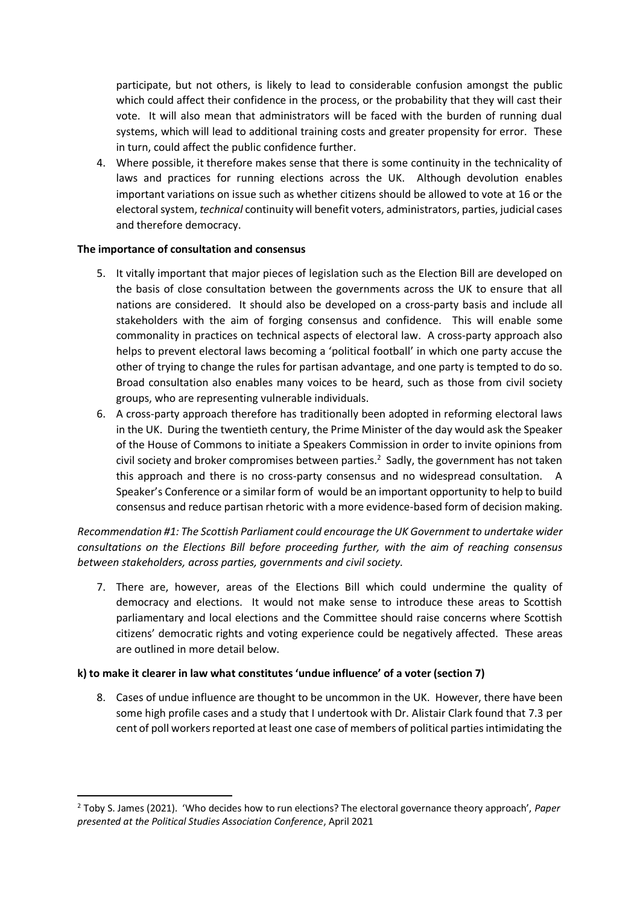participate, but not others, is likely to lead to considerable confusion amongst the public which could affect their confidence in the process, or the probability that they will cast their vote. It will also mean that administrators will be faced with the burden of running dual systems, which will lead to additional training costs and greater propensity for error. These in turn, could affect the public confidence further.

4. Where possible, it therefore makes sense that there is some continuity in the technicality of laws and practices for running elections across the UK. Although devolution enables important variations on issue such as whether citizens should be allowed to vote at 16 or the electoral system, *technical* continuity will benefit voters, administrators, parties, judicial cases and therefore democracy.

#### **The importance of consultation and consensus**

- 5. It vitally important that major pieces of legislation such as the Election Bill are developed on the basis of close consultation between the governments across the UK to ensure that all nations are considered. It should also be developed on a cross-party basis and include all stakeholders with the aim of forging consensus and confidence. This will enable some commonality in practices on technical aspects of electoral law. A cross-party approach also helps to prevent electoral laws becoming a 'political football' in which one party accuse the other of trying to change the rules for partisan advantage, and one party is tempted to do so. Broad consultation also enables many voices to be heard, such as those from civil society groups, who are representing vulnerable individuals.
- 6. A cross-party approach therefore has traditionally been adopted in reforming electoral laws in the UK. During the twentieth century, the Prime Minister of the day would ask the Speaker of the House of Commons to initiate a Speakers Commission in order to invite opinions from civil society and broker compromises between parties.<sup>2</sup> Sadly, the government has not taken this approach and there is no cross-party consensus and no widespread consultation. A Speaker's Conference or a similar form of would be an important opportunity to help to build consensus and reduce partisan rhetoric with a more evidence-based form of decision making.

*Recommendation #1: The Scottish Parliament could encourage the UK Government to undertake wider consultations on the Elections Bill before proceeding further, with the aim of reaching consensus between stakeholders, across parties, governments and civil society.*

7. There are, however, areas of the Elections Bill which could undermine the quality of democracy and elections. It would not make sense to introduce these areas to Scottish parliamentary and local elections and the Committee should raise concerns where Scottish citizens' democratic rights and voting experience could be negatively affected. These areas are outlined in more detail below.

# **k) to make it clearer in law what constitutes 'undue influence' of a voter (section 7)**

8. Cases of undue influence are thought to be uncommon in the UK. However, there have been some high profile cases and a study that I undertook with Dr. Alistair Clark found that 7.3 per cent of poll workers reported at least one case of members of political parties intimidating the

<sup>2</sup> Toby S. James (2021). 'Who decides how to run elections? The electoral governance theory approach', *Paper presented at the Political Studies Association Conference*, April 2021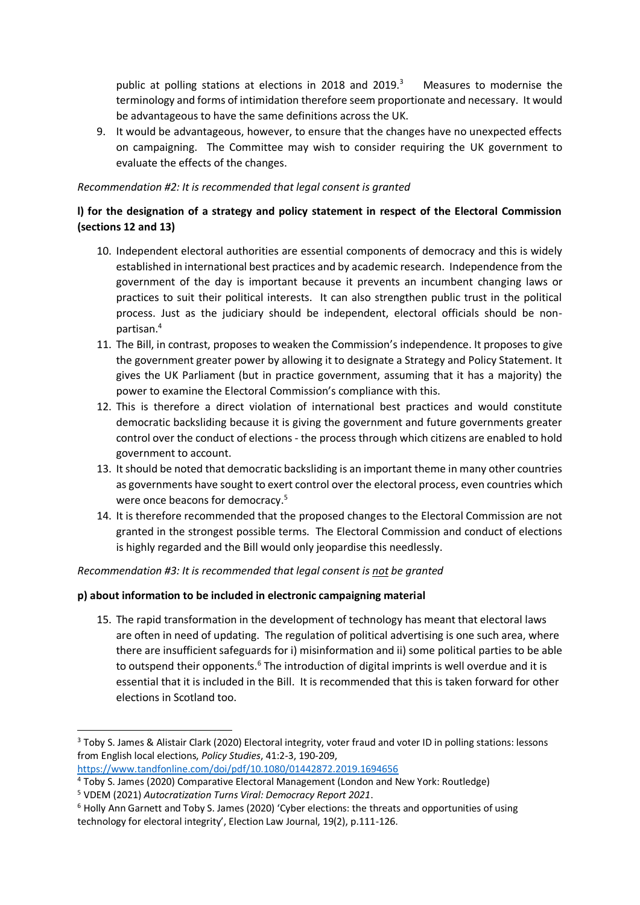public at polling stations at elections in 2018 and 2019.<sup>3</sup> Measures to modernise the terminology and forms of intimidation therefore seem proportionate and necessary. It would be advantageous to have the same definitions across the UK.

9. It would be advantageous, however, to ensure that the changes have no unexpected effects on campaigning. The Committee may wish to consider requiring the UK government to evaluate the effects of the changes.

## *Recommendation #2: It is recommended that legal consent is granted*

# **l) for the designation of a strategy and policy statement in respect of the Electoral Commission (sections 12 and 13)**

- 10. Independent electoral authorities are essential components of democracy and this is widely established in international best practices and by academic research. Independence from the government of the day is important because it prevents an incumbent changing laws or practices to suit their political interests. It can also strengthen public trust in the political process. Just as the judiciary should be independent, electoral officials should be nonpartisan.<sup>4</sup>
- 11. The Bill, in contrast, proposes to weaken the Commission's independence. It proposes to give the government greater power by allowing it to designate a Strategy and Policy Statement. It gives the UK Parliament (but in practice government, assuming that it has a majority) the power to examine the Electoral Commission's compliance with this.
- 12. This is therefore a direct violation of international best practices and would constitute democratic backsliding because it is giving the government and future governments greater control over the conduct of elections - the process through which citizens are enabled to hold government to account.
- 13. It should be noted that democratic backsliding is an important theme in many other countries as governments have sought to exert control over the electoral process, even countries which were once beacons for democracy. 5
- 14. It is therefore recommended that the proposed changes to the Electoral Commission are not granted in the strongest possible terms. The Electoral Commission and conduct of elections is highly regarded and the Bill would only jeopardise this needlessly.

*Recommendation #3: It is recommended that legal consent is not be granted*

# **p) about information to be included in electronic campaigning material**

15. The rapid transformation in the development of technology has meant that electoral laws are often in need of updating. The regulation of political advertising is one such area, where there are insufficient safeguards for i) misinformation and ii) some political parties to be able to outspend their opponents.<sup>6</sup> The introduction of digital imprints is well overdue and it is essential that it is included in the Bill. It is recommended that this is taken forward for other elections in Scotland too.

```
https://www.tandfonline.com/doi/pdf/10.1080/01442872.2019.1694656
```
<sup>3</sup> Toby S. James & Alistair Clark (2020) Electoral integrity, voter fraud and voter ID in polling stations: lessons from English local elections, *Policy Studies*, 41:2-3, 190-209,

<sup>4</sup> Toby S. James (2020) Comparative Electoral Management (London and New York: Routledge)

<sup>5</sup> VDEM (2021) *Autocratization Turns Viral: Democracy Report 2021*.

 $6$  Holly Ann Garnett and Toby S. James (2020) 'Cyber elections: the threats and opportunities of using technology for electoral integrity', Election Law Journal, 19(2), p.111-126.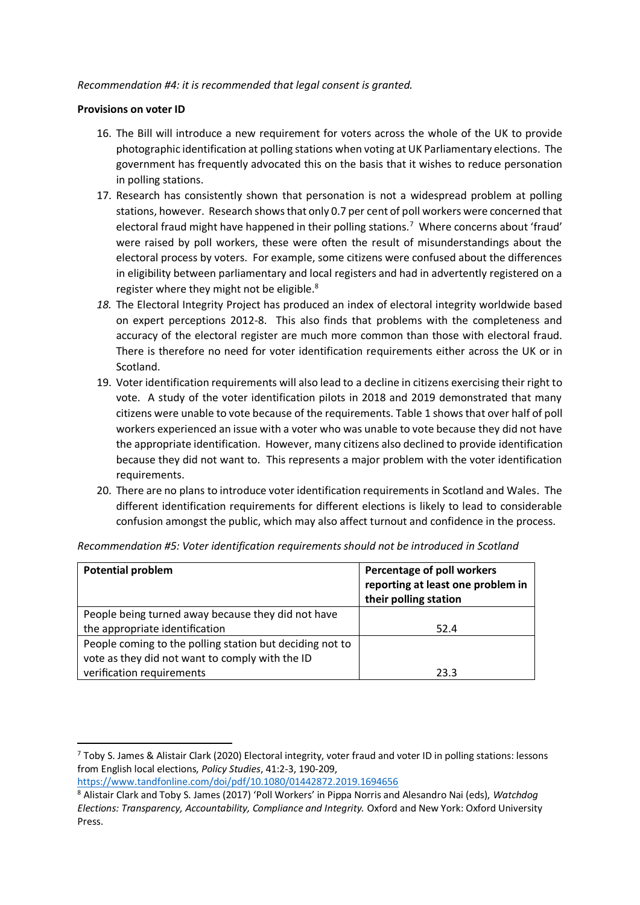### *Recommendation #4: it is recommended that legal consent is granted.*

### **Provisions on voter ID**

- 16. The Bill will introduce a new requirement for voters across the whole of the UK to provide photographic identification at polling stations when voting at UK Parliamentary elections. The government has frequently advocated this on the basis that it wishes to reduce personation in polling stations.
- 17. Research has consistently shown that personation is not a widespread problem at polling stations, however. Research shows that only 0.7 per cent of poll workers were concerned that electoral fraud might have happened in their polling stations.<sup>7</sup> Where concerns about 'fraud' were raised by poll workers, these were often the result of misunderstandings about the electoral process by voters. For example, some citizens were confused about the differences in eligibility between parliamentary and local registers and had in advertently registered on a register where they might not be eligible.<sup>8</sup>
- *18.* The Electoral Integrity Project has produced an index of electoral integrity worldwide based on expert perceptions 2012-8. This also finds that problems with the completeness and accuracy of the electoral register are much more common than those with electoral fraud. There is therefore no need for voter identification requirements either across the UK or in Scotland.
- 19. Voter identification requirements will also lead to a decline in citizens exercising their right to vote. A study of the voter identification pilots in 2018 and 2019 demonstrated that many citizens were unable to vote because of the requirements. Table 1 shows that over half of poll workers experienced an issue with a voter who was unable to vote because they did not have the appropriate identification. However, many citizens also declined to provide identification because they did not want to. This represents a major problem with the voter identification requirements.
- 20. There are no plans to introduce voter identification requirements in Scotland and Wales. The different identification requirements for different elections is likely to lead to considerable confusion amongst the public, which may also affect turnout and confidence in the process.

| <b>Potential problem</b>                                                                                    | Percentage of poll workers<br>reporting at least one problem in<br>their polling station |
|-------------------------------------------------------------------------------------------------------------|------------------------------------------------------------------------------------------|
| People being turned away because they did not have                                                          |                                                                                          |
| the appropriate identification                                                                              | 52.4                                                                                     |
| People coming to the polling station but deciding not to<br>vote as they did not want to comply with the ID |                                                                                          |
| verification requirements                                                                                   | 23.3                                                                                     |

*Recommendation #5: Voter identification requirements should not be introduced in Scotland*

<https://www.tandfonline.com/doi/pdf/10.1080/01442872.2019.1694656>

<sup>7</sup> Toby S. James & Alistair Clark (2020) Electoral integrity, voter fraud and voter ID in polling stations: lessons from English local elections, *Policy Studies*, 41:2-3, 190-209,

<sup>8</sup> Alistair Clark and Toby S. James (2017) 'Poll Workers' in Pippa Norris and Alesandro Nai (eds), *Watchdog Elections: Transparency, Accountability, Compliance and Integrity.* Oxford and New York: Oxford University Press.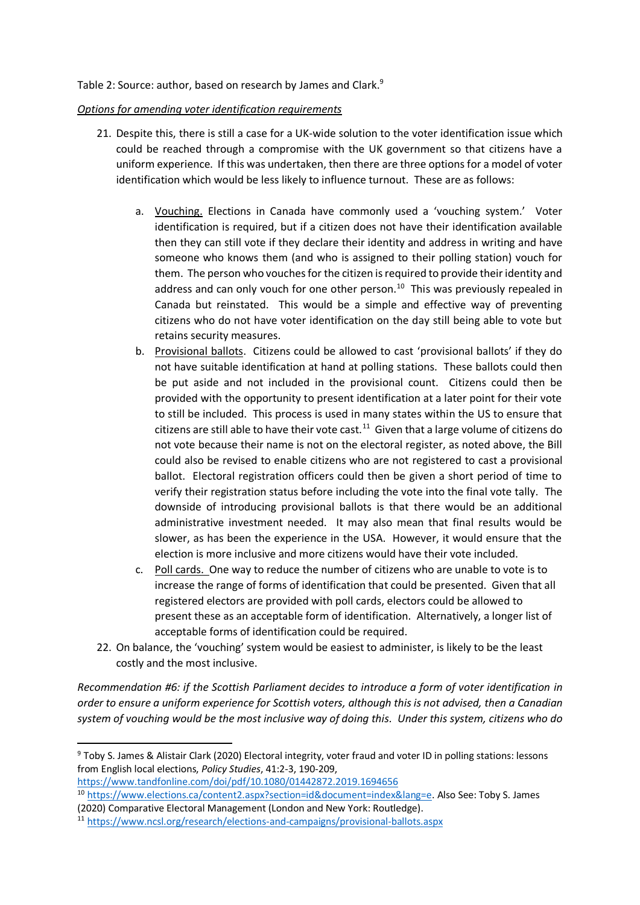### Table 2: Source: author, based on research by James and Clark.<sup>9</sup>

#### *Options for amending voter identification requirements*

- 21. Despite this, there is still a case for a UK-wide solution to the voter identification issue which could be reached through a compromise with the UK government so that citizens have a uniform experience. If this was undertaken, then there are three options for a model of voter identification which would be less likely to influence turnout. These are as follows:
	- a. Vouching. Elections in Canada have commonly used a 'vouching system.' Voter identification is required, but if a citizen does not have their identification available then they can still vote if they declare their identity and address in writing and have someone who knows them (and who is assigned to their polling station) vouch for them. The person who vouches for the citizen is required to provide their identity and address and can only vouch for one other person.<sup>10</sup> This was previously repealed in Canada but reinstated. This would be a simple and effective way of preventing citizens who do not have voter identification on the day still being able to vote but retains security measures.
	- b. Provisional ballots. Citizens could be allowed to cast 'provisional ballots' if they do not have suitable identification at hand at polling stations. These ballots could then be put aside and not included in the provisional count. Citizens could then be provided with the opportunity to present identification at a later point for their vote to still be included. This process is used in many states within the US to ensure that citizens are still able to have their vote cast. $11$  Given that a large volume of citizens do not vote because their name is not on the electoral register, as noted above, the Bill could also be revised to enable citizens who are not registered to cast a provisional ballot. Electoral registration officers could then be given a short period of time to verify their registration status before including the vote into the final vote tally. The downside of introducing provisional ballots is that there would be an additional administrative investment needed. It may also mean that final results would be slower, as has been the experience in the USA. However, it would ensure that the election is more inclusive and more citizens would have their vote included.
	- c. Poll cards. One way to reduce the number of citizens who are unable to vote is to increase the range of forms of identification that could be presented. Given that all registered electors are provided with poll cards, electors could be allowed to present these as an acceptable form of identification. Alternatively, a longer list of acceptable forms of identification could be required.
- 22. On balance, the 'vouching' system would be easiest to administer, is likely to be the least costly and the most inclusive.

*Recommendation #6: if the Scottish Parliament decides to introduce a form of voter identification in order to ensure a uniform experience for Scottish voters, although this is not advised, then a Canadian system of vouching would be the most inclusive way of doing this. Under this system, citizens who do* 

<https://www.tandfonline.com/doi/pdf/10.1080/01442872.2019.1694656>

<sup>9</sup> Toby S. James & Alistair Clark (2020) Electoral integrity, voter fraud and voter ID in polling stations: lessons from English local elections, *Policy Studies*, 41:2-3, 190-209,

<sup>10</sup> [https://www.elections.ca/content2.aspx?section=id&document=index&lang=e.](https://www.elections.ca/content2.aspx?section=id&document=index&lang=e) Also See: Toby S. James (2020) Comparative Electoral Management (London and New York: Routledge).

<sup>11</sup> <https://www.ncsl.org/research/elections-and-campaigns/provisional-ballots.aspx>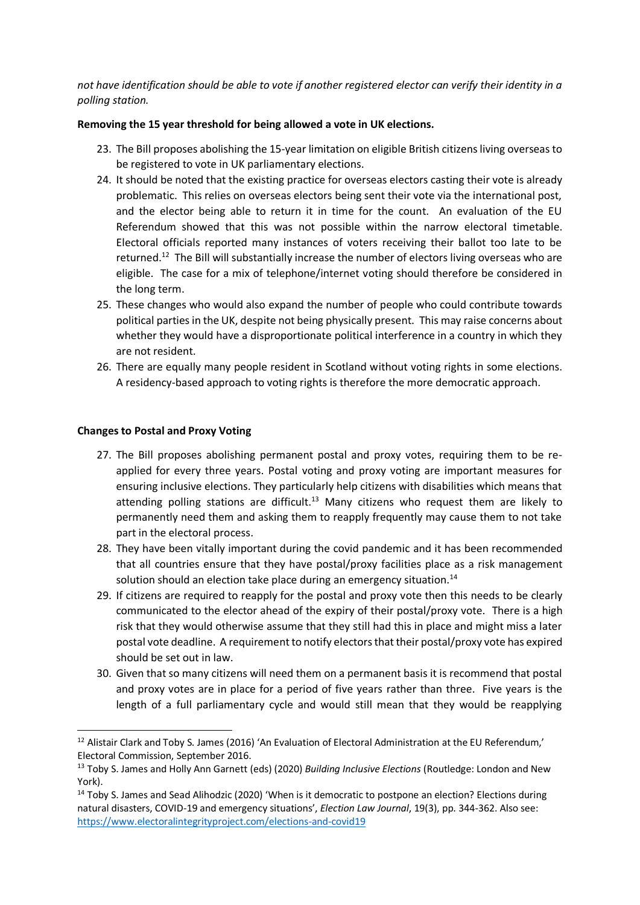*not have identification should be able to vote if another registered elector can verify their identity in a polling station.*

### **Removing the 15 year threshold for being allowed a vote in UK elections.**

- 23. The Bill proposes abolishing the 15-year limitation on eligible British citizens living overseas to be registered to vote in UK parliamentary elections.
- 24. It should be noted that the existing practice for overseas electors casting their vote is already problematic. This relies on overseas electors being sent their vote via the international post, and the elector being able to return it in time for the count. An evaluation of the EU Referendum showed that this was not possible within the narrow electoral timetable. Electoral officials reported many instances of voters receiving their ballot too late to be returned.<sup>12</sup> The Bill will substantially increase the number of electors living overseas who are eligible. The case for a mix of telephone/internet voting should therefore be considered in the long term.
- 25. These changes who would also expand the number of people who could contribute towards political parties in the UK, despite not being physically present. This may raise concerns about whether they would have a disproportionate political interference in a country in which they are not resident.
- 26. There are equally many people resident in Scotland without voting rights in some elections. A residency-based approach to voting rights is therefore the more democratic approach.

## **Changes to Postal and Proxy Voting**

- 27. The Bill proposes abolishing permanent postal and proxy votes, requiring them to be reapplied for every three years. Postal voting and proxy voting are important measures for ensuring inclusive elections. They particularly help citizens with disabilities which means that attending polling stations are difficult.<sup>13</sup> Many citizens who request them are likely to permanently need them and asking them to reapply frequently may cause them to not take part in the electoral process.
- 28. They have been vitally important during the covid pandemic and it has been recommended that all countries ensure that they have postal/proxy facilities place as a risk management solution should an election take place during an emergency situation.<sup>14</sup>
- 29. If citizens are required to reapply for the postal and proxy vote then this needs to be clearly communicated to the elector ahead of the expiry of their postal/proxy vote. There is a high risk that they would otherwise assume that they still had this in place and might miss a later postal vote deadline. A requirement to notify electors that their postal/proxy vote has expired should be set out in law.
- 30. Given that so many citizens will need them on a permanent basis it is recommend that postal and proxy votes are in place for a period of five years rather than three. Five years is the length of a full parliamentary cycle and would still mean that they would be reapplying

 $12$  Alistair Clark and Toby S. James (2016) 'An Evaluation of Electoral Administration at the EU Referendum,' Electoral Commission, September 2016.

<sup>13</sup> Toby S. James and Holly Ann Garnett (eds) (2020) *Building Inclusive Elections* (Routledge: London and New York).

<sup>&</sup>lt;sup>14</sup> Toby S. James and Sead Alihodzic (2020) 'When is it democratic to postpone an election? Elections during natural disasters, COVID-19 and emergency situations', *Election Law Journal*, 19(3), pp. 344-362. Also see: <https://www.electoralintegrityproject.com/elections-and-covid19>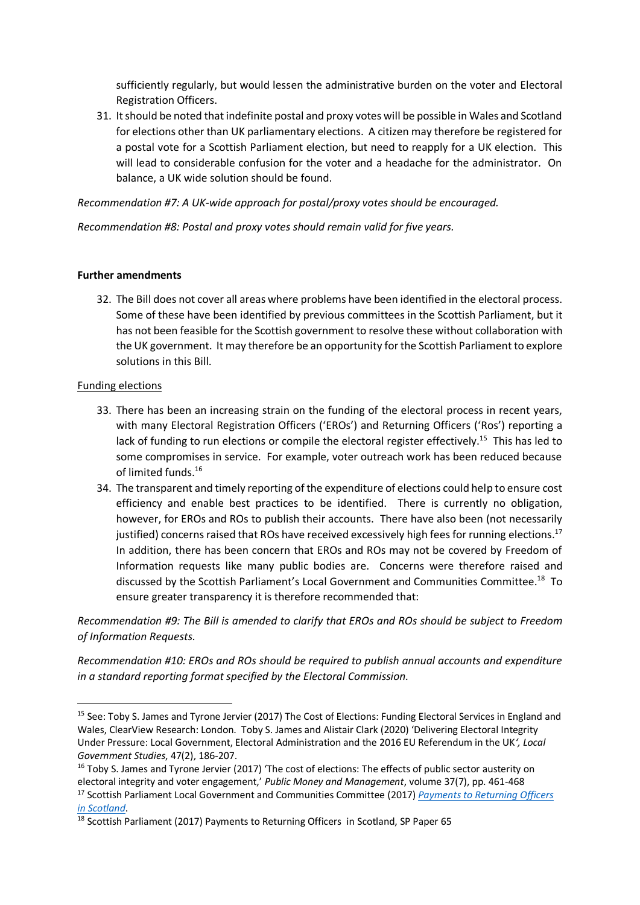sufficiently regularly, but would lessen the administrative burden on the voter and Electoral Registration Officers.

31. It should be noted that indefinite postal and proxy votes will be possible in Wales and Scotland for elections other than UK parliamentary elections. A citizen may therefore be registered for a postal vote for a Scottish Parliament election, but need to reapply for a UK election. This will lead to considerable confusion for the voter and a headache for the administrator. On balance, a UK wide solution should be found.

## *Recommendation #7: A UK-wide approach for postal/proxy votes should be encouraged.*

*Recommendation #8: Postal and proxy votes should remain valid for five years.*

## **Further amendments**

32. The Bill does not cover all areas where problems have been identified in the electoral process. Some of these have been identified by previous committees in the Scottish Parliament, but it has not been feasible for the Scottish government to resolve these without collaboration with the UK government. It may therefore be an opportunity for the Scottish Parliament to explore solutions in this Bill.

## Funding elections

- 33. There has been an increasing strain on the funding of the electoral process in recent years, with many Electoral Registration Officers ('EROs') and Returning Officers ('Ros') reporting a lack of funding to run elections or compile the electoral register effectively.<sup>15</sup> This has led to some compromises in service. For example, voter outreach work has been reduced because of limited funds.<sup>16</sup>
- 34. The transparent and timely reporting of the expenditure of elections could help to ensure cost efficiency and enable best practices to be identified. There is currently no obligation, however, for EROs and ROs to publish their accounts. There have also been (not necessarily justified) concerns raised that ROs have received excessively high fees for running elections.<sup>17</sup> In addition, there has been concern that EROs and ROs may not be covered by Freedom of Information requests like many public bodies are. Concerns were therefore raised and discussed by the Scottish Parliament's Local Government and Communities Committee.<sup>18</sup> To ensure greater transparency it is therefore recommended that:

*Recommendation #9: The Bill is amended to clarify that EROs and ROs should be subject to Freedom of Information Requests.*

*Recommendation #10: EROs and ROs should be required to publish annual accounts and expenditure in a standard reporting format specified by the Electoral Commission.*

<sup>&</sup>lt;sup>15</sup> See: Toby S. James and Tyrone Jervier (2017) The Cost of Elections: Funding Electoral Services in England and Wales, ClearView Research: London. Toby S. James and Alistair Clark (2020) 'Delivering Electoral Integrity Under Pressure: Local Government, Electoral Administration and the 2016 EU Referendum in the UK*', Local Government Studies*, 47(2), 186-207.

<sup>&</sup>lt;sup>16</sup> Toby S. James and Tyrone Jervier (2017) 'The cost of elections: The effects of public sector austerity on electoral integrity and voter engagement,' *Public Money and Management*, volume 37(7), pp. 461-468 <sup>17</sup> Scottish Parliament Local Government and Communities Committee (2017) *[Payments to Returning Officers](https://archive2021.parliament.scot/S5_Local_Gov/Reports/LGCS052017R01.pdf)* 

*[in Scotland](https://archive2021.parliament.scot/S5_Local_Gov/Reports/LGCS052017R01.pdf)*.

<sup>&</sup>lt;sup>18</sup> Scottish Parliament (2017) Payments to Returning Officers in Scotland, SP Paper 65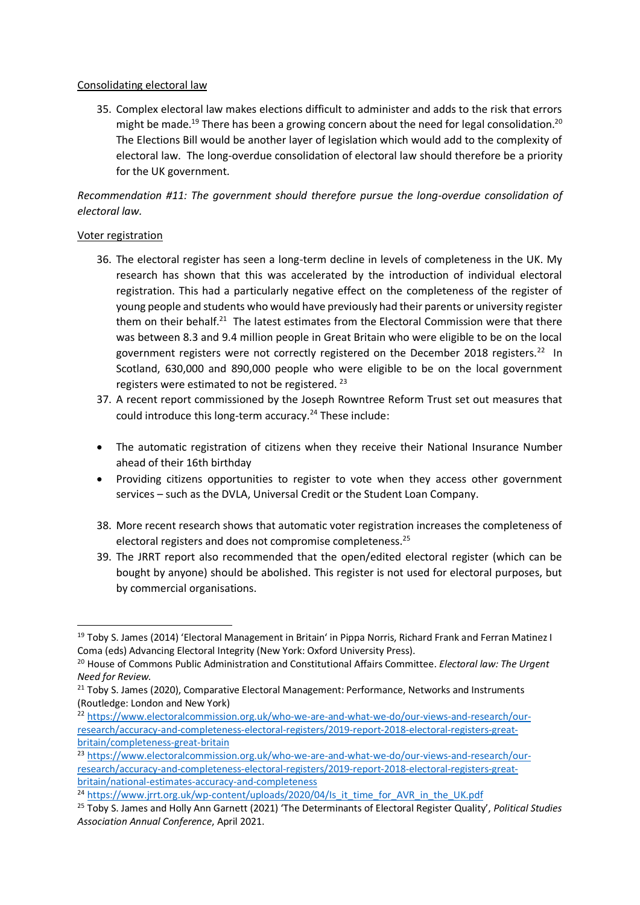## Consolidating electoral law

35. Complex electoral law makes elections difficult to administer and adds to the risk that errors might be made.<sup>19</sup> There has been a growing concern about the need for legal consolidation.<sup>20</sup> The Elections Bill would be another layer of legislation which would add to the complexity of electoral law. The long-overdue consolidation of electoral law should therefore be a priority for the UK government.

# *Recommendation #11: The government should therefore pursue the long-overdue consolidation of electoral law.*

# Voter registration

- 36. The electoral register has seen a long-term decline in levels of completeness in the UK. My research has shown that this was accelerated by the introduction of individual electoral registration. This had a particularly negative effect on the completeness of the register of young people and students who would have previously had their parents or university register them on their behalf.<sup>21</sup> The latest estimates from the Electoral Commission were that there was between 8.3 and 9.4 million people in Great Britain who were eligible to be on the local government registers were not correctly registered on the December 2018 registers.<sup>22</sup> In Scotland, 630,000 and 890,000 people who were eligible to be on the local government registers were estimated to not be registered.<sup>23</sup>
- 37. A recent report commissioned by the Joseph Rowntree Reform Trust set out measures that could introduce this long-term accuracy.<sup>24</sup> These include:
- The automatic registration of citizens when they receive their National Insurance Number ahead of their 16th birthday
- Providing citizens opportunities to register to vote when they access other government services – such as the DVLA, Universal Credit or the Student Loan Company.
- 38. More recent research shows that automatic voter registration increases the completeness of electoral registers and does not compromise completeness.<sup>25</sup>
- 39. The JRRT report also recommended that the open/edited electoral register (which can be bought by anyone) should be abolished. This register is not used for electoral purposes, but by commercial organisations.

<sup>&</sup>lt;sup>19</sup> Toby S. James (2014) 'Electoral Management in Britain' in Pippa Norris, Richard Frank and Ferran Matinez I Coma (eds) Advancing Electoral Integrity (New York: Oxford University Press).

<sup>20</sup> House of Commons Public Administration and Constitutional Affairs Committee. *Electoral law: The Urgent Need for Review.* 

<sup>&</sup>lt;sup>21</sup> Toby S. James (2020), Comparative Electoral Management: Performance, Networks and Instruments (Routledge: London and New York)

<sup>&</sup>lt;sup>22</sup> [https://www.electoralcommission.org.uk/who-we-are-and-what-we-do/our-views-and-research/our](https://www.electoralcommission.org.uk/who-we-are-and-what-we-do/our-views-and-research/our-research/accuracy-and-completeness-electoral-registers/2019-report-2018-electoral-registers-great-britain/completeness-great-britain)[research/accuracy-and-completeness-electoral-registers/2019-report-2018-electoral-registers-great](https://www.electoralcommission.org.uk/who-we-are-and-what-we-do/our-views-and-research/our-research/accuracy-and-completeness-electoral-registers/2019-report-2018-electoral-registers-great-britain/completeness-great-britain)[britain/completeness-great-britain](https://www.electoralcommission.org.uk/who-we-are-and-what-we-do/our-views-and-research/our-research/accuracy-and-completeness-electoral-registers/2019-report-2018-electoral-registers-great-britain/completeness-great-britain)

<sup>&</sup>lt;sup>23</sup> [https://www.electoralcommission.org.uk/who-we-are-and-what-we-do/our-views-and-research/our](https://www.electoralcommission.org.uk/who-we-are-and-what-we-do/our-views-and-research/our-research/accuracy-and-completeness-electoral-registers/2019-report-2018-electoral-registers-great-britain/national-estimates-accuracy-and-completeness)[research/accuracy-and-completeness-electoral-registers/2019-report-2018-electoral-registers-great](https://www.electoralcommission.org.uk/who-we-are-and-what-we-do/our-views-and-research/our-research/accuracy-and-completeness-electoral-registers/2019-report-2018-electoral-registers-great-britain/national-estimates-accuracy-and-completeness)[britain/national-estimates-accuracy-and-completeness](https://www.electoralcommission.org.uk/who-we-are-and-what-we-do/our-views-and-research/our-research/accuracy-and-completeness-electoral-registers/2019-report-2018-electoral-registers-great-britain/national-estimates-accuracy-and-completeness)

<sup>&</sup>lt;sup>24</sup> [https://www.jrrt.org.uk/wp-content/uploads/2020/04/Is\\_it\\_time\\_for\\_AVR\\_in\\_the\\_UK.pdf](https://www.jrrt.org.uk/wp-content/uploads/2020/04/Is_it_time_for_AVR_in_the_UK.pdf)

<sup>25</sup> Toby S. James and Holly Ann Garnett (2021) 'The Determinants of Electoral Register Quality', *Political Studies Association Annual Conference*, April 2021.